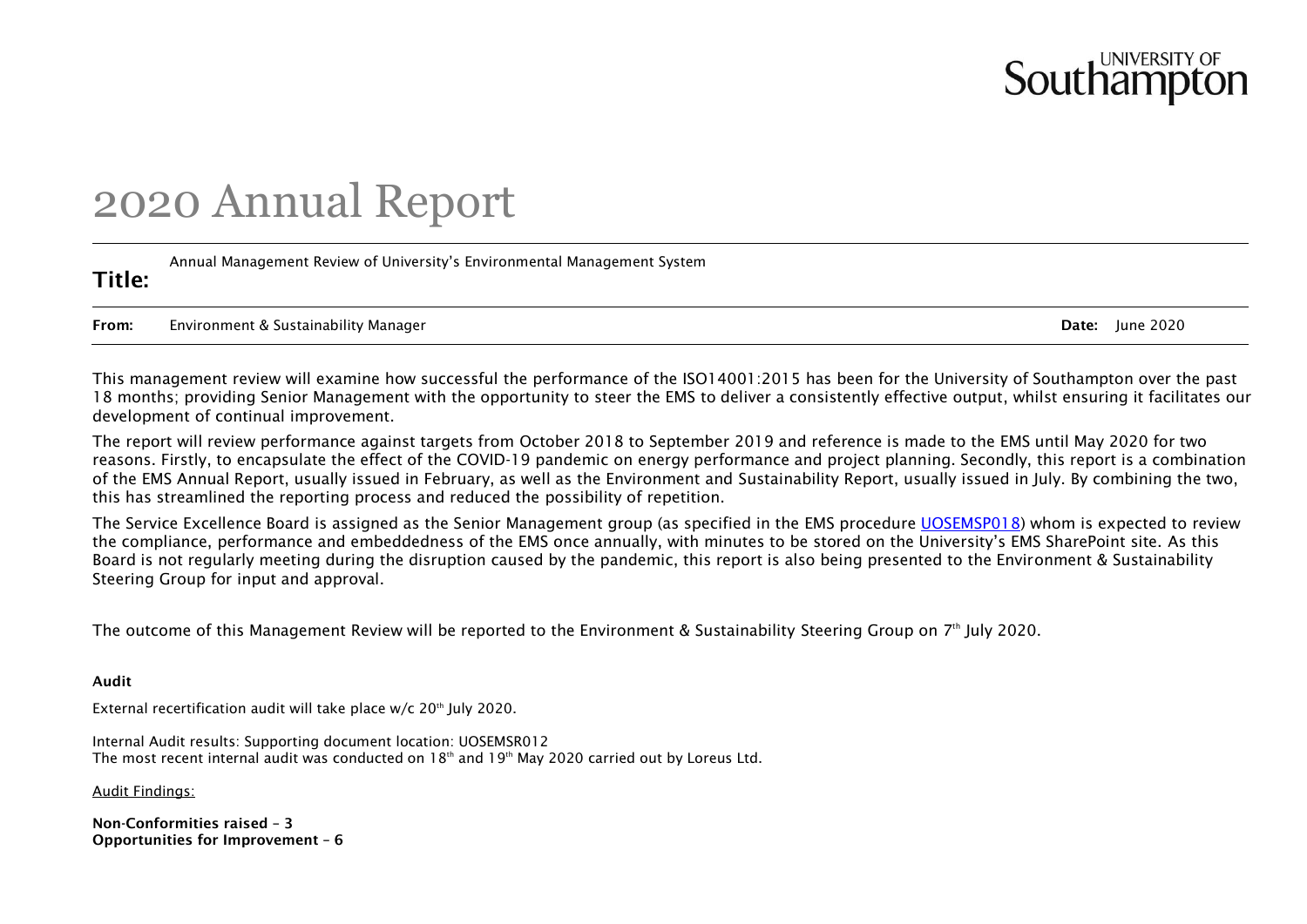# Southamp

## 2020 Annual Report

Title: Annual Management Review of University's Environmental Management System

From: Environment & Sustainability Manager **Date: 1998** and 2020

This management review will examine how successful the performance of the ISO14001:2015 has been for the University of Southampton over the past 18 months; providing Senior Management with the opportunity to steer the EMS to deliver a consistently effective output, whilst ensuring it facilitates our development of continual improvement.

The report will review performance against targets from October 2018 to September 2019 and reference is made to the EMS until May 2020 for two reasons. Firstly, to encapsulate the effect of the COVID-19 pandemic on energy performance and project planning. Secondly, this report is a combination of the EMS Annual Report, usually issued in February, as well as the Environment and Sustainability Report, usually issued in July. By combining the two, this has streamlined the reporting process and reduced the possibility of repetition.

The Service Excellence Board is assigned as the Senior Management group (as specified in the EMS procedure [UOSEMSP018\)](file://///soton.ac.uk/resource/Estates/EVERYONE/Environment/ISO14001%202015/9.3%20Management%20Review/UOSEMSP018%20Annual%20Management%20Review.pdf) whom is expected to review the compliance, performance and embeddedness of the EMS once annually, with minutes to be stored on the University's EMS SharePoint site. As this Board is not regularly meeting during the disruption caused by the pandemic, this report is also being presented to the Environment & Sustainability Steering Group for input and approval.

The outcome of this Management Review will be reported to the Environment & Sustainability Steering Group on 7th July 2020.

### Audit

External recertification audit will take place  $w/c$  20<sup>th</sup> July 2020.

Internal Audit results: Supporting document location: UOSEMSR012 The most recent internal audit was conducted on  $18<sup>th</sup>$  and  $19<sup>th</sup>$  May 2020 carried out by Loreus Ltd.

Audit Findings:

Non-Conformities raised – 3 Opportunities for Improvement – 6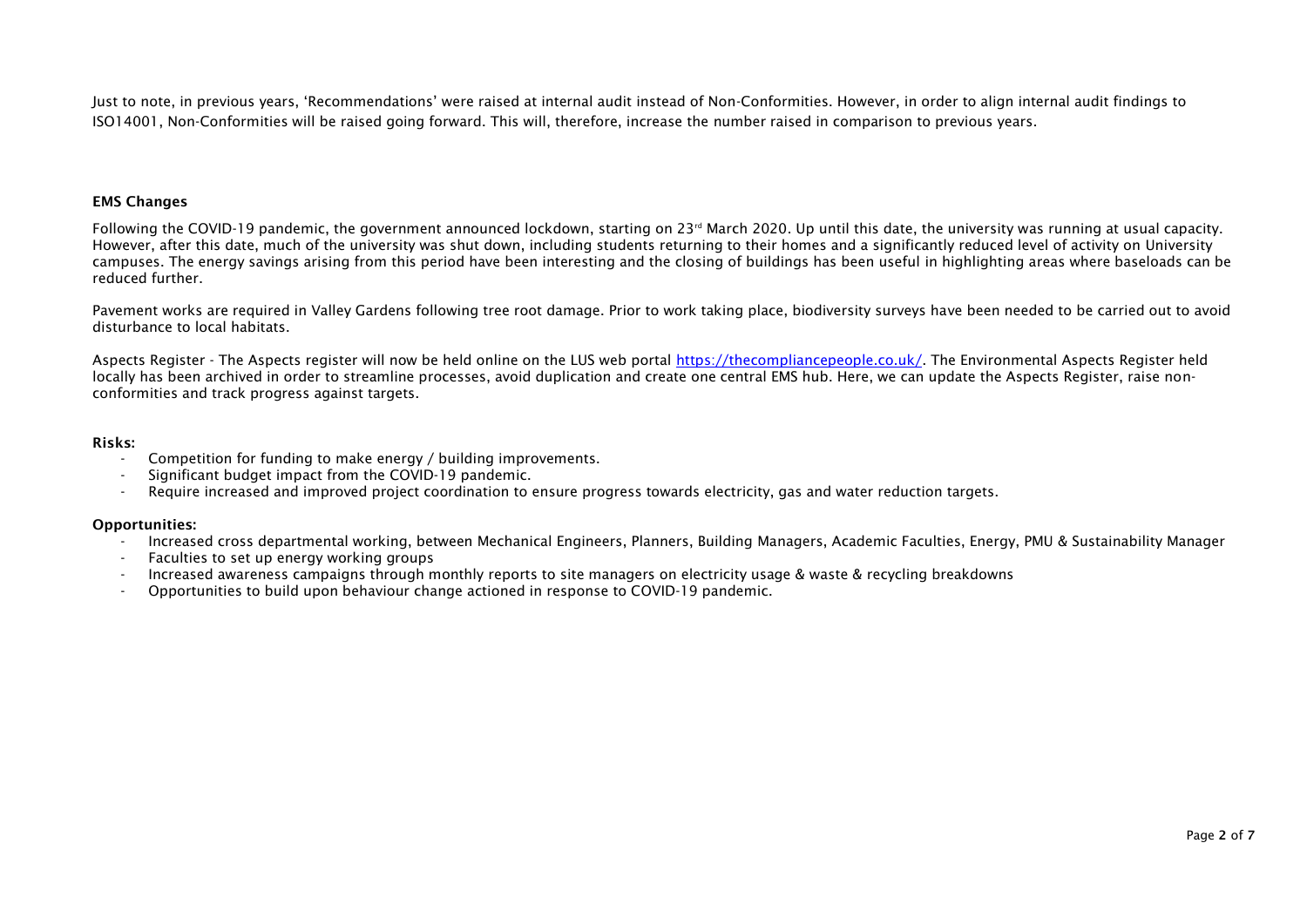Just to note, in previous years, 'Recommendations' were raised at internal audit instead of Non-Conformities. However, in order to align internal audit findings to ISO14001, Non-Conformities will be raised going forward. This will, therefore, increase the number raised in comparison to previous years.

#### EMS Changes

Following the COVID-19 pandemic, the government announced lockdown, starting on 23<sup>rd</sup> March 2020. Up until this date, the university was running at usual capacity. However, after this date, much of the university was shut down, including students returning to their homes and a significantly reduced level of activity on University campuses. The energy savings arising from this period have been interesting and the closing of buildings has been useful in highlighting areas where baseloads can be reduced further.

Pavement works are required in Valley Gardens following tree root damage. Prior to work taking place, biodiversity surveys have been needed to be carried out to avoid disturbance to local habitats.

Aspects Register - The Aspects register will now be held online on the LUS web portal [https://thecompliancepeople.co.uk/.](https://thecompliancepeople.co.uk/) The Environmental Aspects Register held locally has been archived in order to streamline processes, avoid duplication and create one central EMS hub. Here, we can update the Aspects Register, raise nonconformities and track progress against targets.

#### Risks:

- Competition for funding to make energy / building improvements.
- Significant budget impact from the COVID-19 pandemic.
- Require increased and improved project coordination to ensure progress towards electricity, gas and water reduction targets.

#### Opportunities:

- Increased cross departmental working, between Mechanical Engineers, Planners, Building Managers, Academic Faculties, Energy, PMU & Sustainability Manager
- Faculties to set up energy working groups
- Increased awareness campaigns through monthly reports to site managers on electricity usage & waste & recycling breakdowns
- Opportunities to build upon behaviour change actioned in response to COVID-19 pandemic.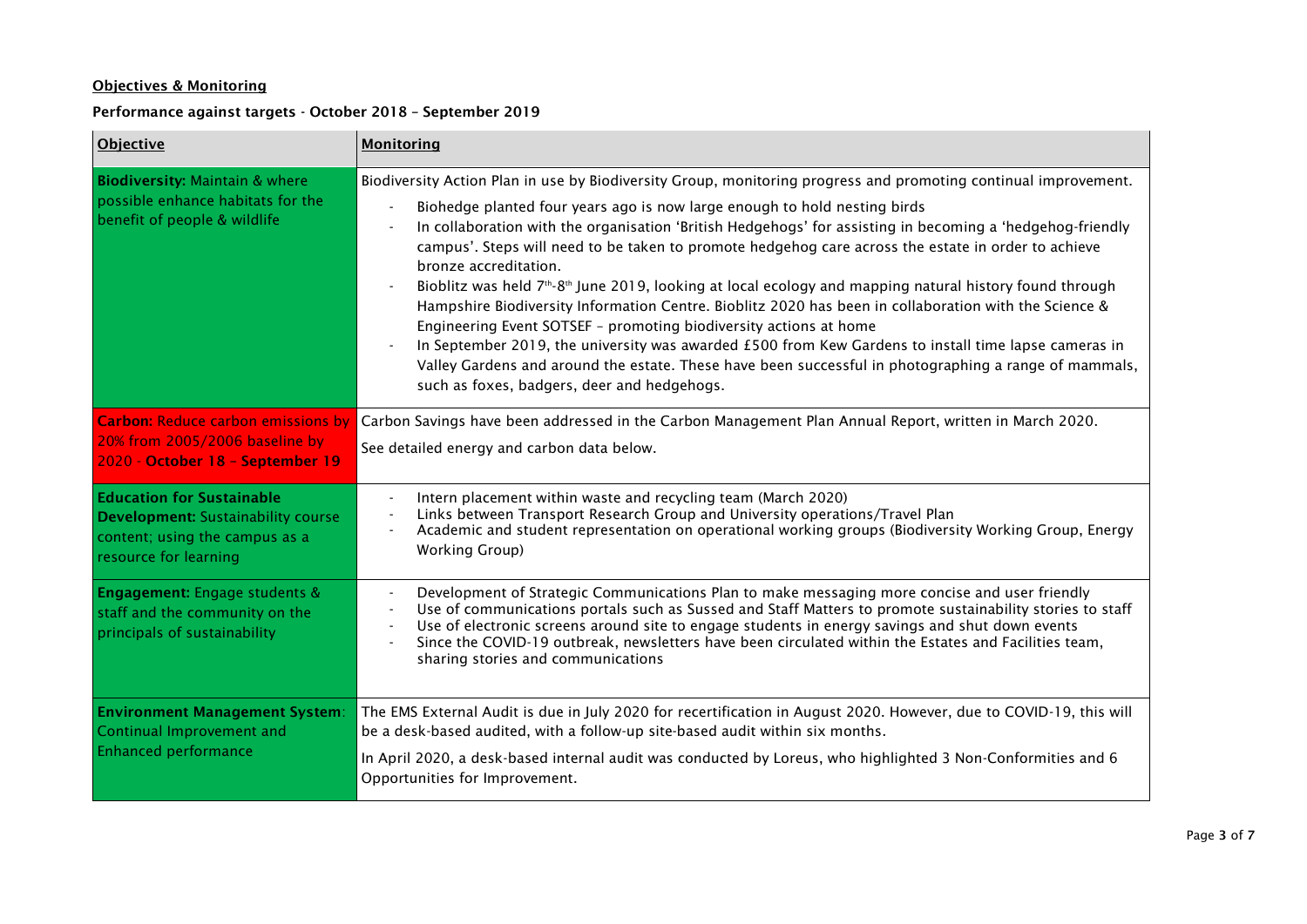## Objectives & Monitoring

## Performance against targets - October 2018 – September 2019

| <b>Objective</b>                                                                                                                         | <b>Monitoring</b>                                                                                                                                                                                                                                                                                                                                                                                                                                                                                                                                                                                                                                                                                                                                                                                                                                                                                                                                                                                                 |  |  |
|------------------------------------------------------------------------------------------------------------------------------------------|-------------------------------------------------------------------------------------------------------------------------------------------------------------------------------------------------------------------------------------------------------------------------------------------------------------------------------------------------------------------------------------------------------------------------------------------------------------------------------------------------------------------------------------------------------------------------------------------------------------------------------------------------------------------------------------------------------------------------------------------------------------------------------------------------------------------------------------------------------------------------------------------------------------------------------------------------------------------------------------------------------------------|--|--|
| <b>Biodiversity: Maintain &amp; where</b><br>possible enhance habitats for the<br>benefit of people & wildlife                           | Biodiversity Action Plan in use by Biodiversity Group, monitoring progress and promoting continual improvement.<br>Biohedge planted four years ago is now large enough to hold nesting birds<br>In collaboration with the organisation 'British Hedgehogs' for assisting in becoming a 'hedgehog-friendly<br>campus'. Steps will need to be taken to promote hedgehog care across the estate in order to achieve<br>bronze accreditation.<br>Bioblitz was held $7th$ -8 <sup>th</sup> June 2019, looking at local ecology and mapping natural history found through<br>Hampshire Biodiversity Information Centre. Bioblitz 2020 has been in collaboration with the Science &<br>Engineering Event SOTSEF - promoting biodiversity actions at home<br>In September 2019, the university was awarded £500 from Kew Gardens to install time lapse cameras in<br>Valley Gardens and around the estate. These have been successful in photographing a range of mammals,<br>such as foxes, badgers, deer and hedgehogs. |  |  |
| <b>Carbon: Reduce carbon emissions by</b><br>20% from 2005/2006 baseline by<br>2020 - October 18 - September 19                          | Carbon Savings have been addressed in the Carbon Management Plan Annual Report, written in March 2020.<br>See detailed energy and carbon data below.                                                                                                                                                                                                                                                                                                                                                                                                                                                                                                                                                                                                                                                                                                                                                                                                                                                              |  |  |
| <b>Education for Sustainable</b><br><b>Development:</b> Sustainability course<br>content; using the campus as a<br>resource for learning | Intern placement within waste and recycling team (March 2020)<br>Links between Transport Research Group and University operations/Travel Plan<br>Academic and student representation on operational working groups (Biodiversity Working Group, Energy<br><b>Working Group)</b>                                                                                                                                                                                                                                                                                                                                                                                                                                                                                                                                                                                                                                                                                                                                   |  |  |
| <b>Engagement:</b> Engage students &<br>staff and the community on the<br>principals of sustainability                                   | Development of Strategic Communications Plan to make messaging more concise and user friendly<br>$\blacksquare$<br>Use of communications portals such as Sussed and Staff Matters to promote sustainability stories to staff<br>Use of electronic screens around site to engage students in energy savings and shut down events<br>Since the COVID-19 outbreak, newsletters have been circulated within the Estates and Facilities team,<br>sharing stories and communications                                                                                                                                                                                                                                                                                                                                                                                                                                                                                                                                    |  |  |
| <b>Environment Management System:</b><br>Continual Improvement and<br><b>Enhanced performance</b>                                        | The EMS External Audit is due in July 2020 for recertification in August 2020. However, due to COVID-19, this will<br>be a desk-based audited, with a follow-up site-based audit within six months.<br>In April 2020, a desk-based internal audit was conducted by Loreus, who highlighted 3 Non-Conformities and 6<br>Opportunities for Improvement.                                                                                                                                                                                                                                                                                                                                                                                                                                                                                                                                                                                                                                                             |  |  |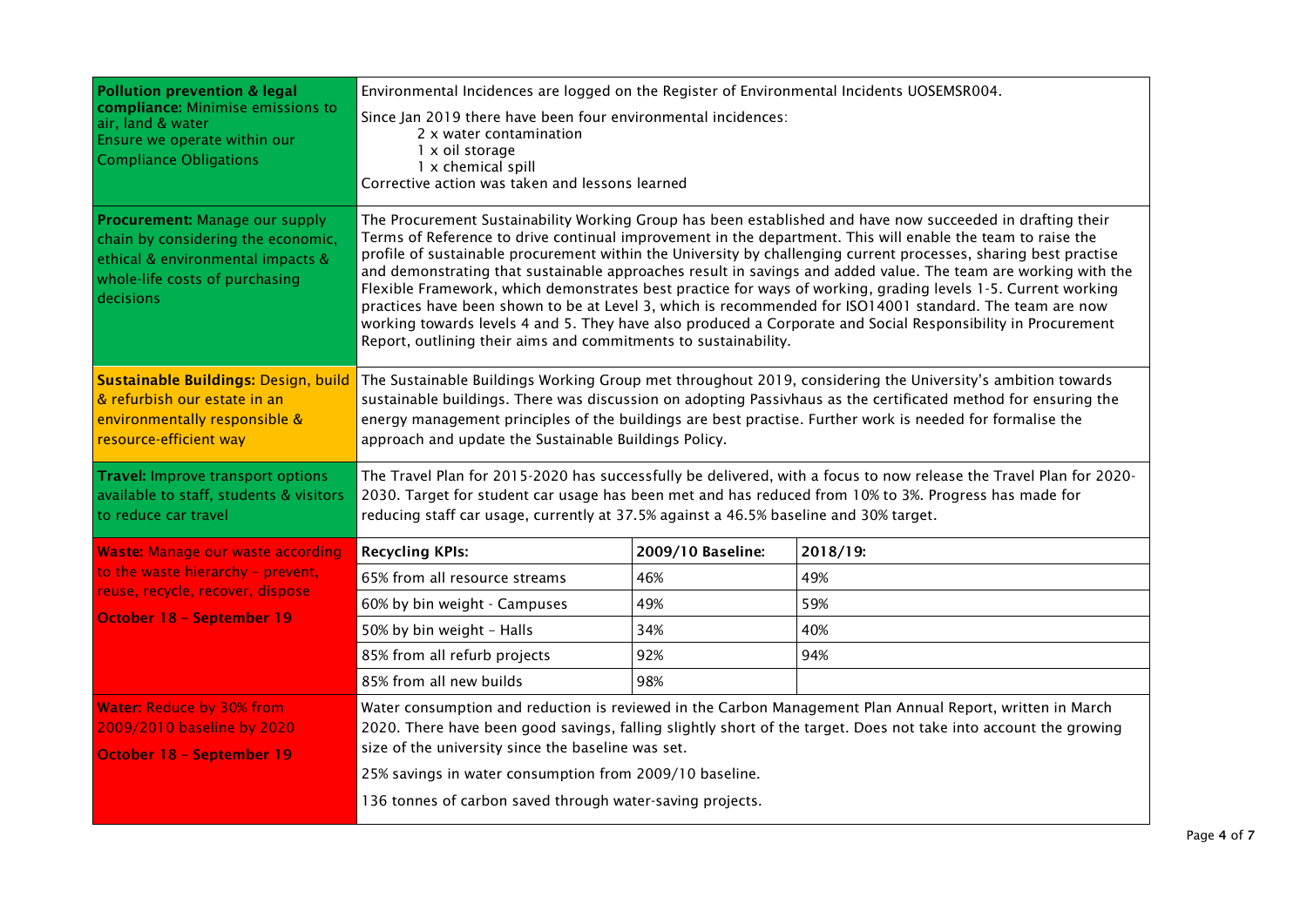| <b>Pollution prevention &amp; legal</b>                                                                                                                  | Environmental Incidences are logged on the Register of Environmental Incidents UOSEMSR004.                                                                                                                                                                                                                                                                                                                                                                                                                                                                                                                                                                                                                                                                                                                                                                                      |                   |          |  |  |
|----------------------------------------------------------------------------------------------------------------------------------------------------------|---------------------------------------------------------------------------------------------------------------------------------------------------------------------------------------------------------------------------------------------------------------------------------------------------------------------------------------------------------------------------------------------------------------------------------------------------------------------------------------------------------------------------------------------------------------------------------------------------------------------------------------------------------------------------------------------------------------------------------------------------------------------------------------------------------------------------------------------------------------------------------|-------------------|----------|--|--|
| compliance: Minimise emissions to<br>air, land & water<br>Ensure we operate within our<br><b>Compliance Obligations</b>                                  | Since Jan 2019 there have been four environmental incidences:<br>2 x water contamination<br>1 x oil storage<br>1 x chemical spill<br>Corrective action was taken and lessons learned                                                                                                                                                                                                                                                                                                                                                                                                                                                                                                                                                                                                                                                                                            |                   |          |  |  |
| Procurement: Manage our supply<br>chain by considering the economic,<br>ethical & environmental impacts &<br>whole-life costs of purchasing<br>decisions | The Procurement Sustainability Working Group has been established and have now succeeded in drafting their<br>Terms of Reference to drive continual improvement in the department. This will enable the team to raise the<br>profile of sustainable procurement within the University by challenging current processes, sharing best practise<br>and demonstrating that sustainable approaches result in savings and added value. The team are working with the<br>Flexible Framework, which demonstrates best practice for ways of working, grading levels 1-5. Current working<br>practices have been shown to be at Level 3, which is recommended for ISO14001 standard. The team are now<br>working towards levels 4 and 5. They have also produced a Corporate and Social Responsibility in Procurement<br>Report, outlining their aims and commitments to sustainability. |                   |          |  |  |
| Sustainable Buildings: Design, build<br>& refurbish our estate in an<br>environmentally responsible &<br>resource-efficient way                          | The Sustainable Buildings Working Group met throughout 2019, considering the University's ambition towards<br>sustainable buildings. There was discussion on adopting Passivhaus as the certificated method for ensuring the<br>energy management principles of the buildings are best practise. Further work is needed for formalise the<br>approach and update the Sustainable Buildings Policy.                                                                                                                                                                                                                                                                                                                                                                                                                                                                              |                   |          |  |  |
| <b>Travel: Improve transport options</b><br>available to staff, students & visitors<br>to reduce car travel                                              | The Travel Plan for 2015-2020 has successfully be delivered, with a focus to now release the Travel Plan for 2020-<br>2030. Target for student car usage has been met and has reduced from 10% to 3%. Progress has made for<br>reducing staff car usage, currently at 37.5% against a 46.5% baseline and 30% target.                                                                                                                                                                                                                                                                                                                                                                                                                                                                                                                                                            |                   |          |  |  |
| <b>Waste: Manage our waste according</b>                                                                                                                 | <b>Recycling KPIs:</b>                                                                                                                                                                                                                                                                                                                                                                                                                                                                                                                                                                                                                                                                                                                                                                                                                                                          | 2009/10 Baseline: | 2018/19: |  |  |
| to the waste hierarchy - prevent,                                                                                                                        | 65% from all resource streams                                                                                                                                                                                                                                                                                                                                                                                                                                                                                                                                                                                                                                                                                                                                                                                                                                                   | 46%               | 49%      |  |  |
| reuse, recycle, recover, dispose<br>October 18 - September 19                                                                                            | 60% by bin weight - Campuses                                                                                                                                                                                                                                                                                                                                                                                                                                                                                                                                                                                                                                                                                                                                                                                                                                                    | 49%               | 59%      |  |  |
|                                                                                                                                                          | 50% by bin weight - Halls                                                                                                                                                                                                                                                                                                                                                                                                                                                                                                                                                                                                                                                                                                                                                                                                                                                       | 34%               | 40%      |  |  |
|                                                                                                                                                          | 85% from all refurb projects                                                                                                                                                                                                                                                                                                                                                                                                                                                                                                                                                                                                                                                                                                                                                                                                                                                    | 92%               | 94%      |  |  |
|                                                                                                                                                          | 85% from all new builds                                                                                                                                                                                                                                                                                                                                                                                                                                                                                                                                                                                                                                                                                                                                                                                                                                                         | 98%               |          |  |  |
| <b>Water: Reduce by 30% from</b><br>2009/2010 baseline by 2020<br><b>October 18 - September 19</b>                                                       | Water consumption and reduction is reviewed in the Carbon Management Plan Annual Report, written in March<br>2020. There have been good savings, falling slightly short of the target. Does not take into account the growing<br>size of the university since the baseline was set.<br>25% savings in water consumption from 2009/10 baseline.<br>136 tonnes of carbon saved through water-saving projects.                                                                                                                                                                                                                                                                                                                                                                                                                                                                     |                   |          |  |  |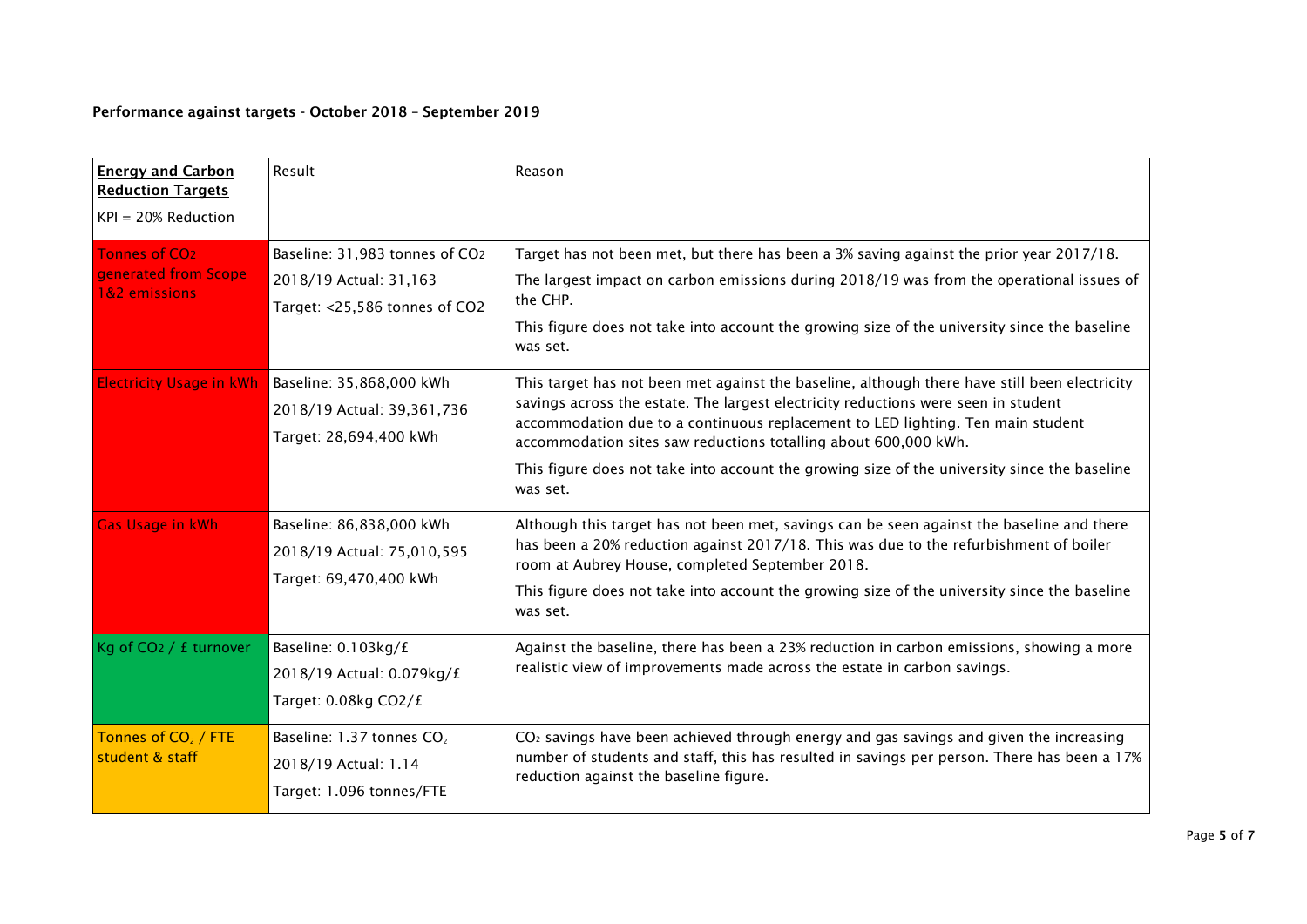## Performance against targets - October 2018 – September 2019

| <b>Energy and Carbon</b><br><b>Reduction Targets</b><br>$KPI = 20\%$ Reduction | Result                                                                                    | Reason                                                                                                                                                                                                                                                                                                                                                                                                                                                |
|--------------------------------------------------------------------------------|-------------------------------------------------------------------------------------------|-------------------------------------------------------------------------------------------------------------------------------------------------------------------------------------------------------------------------------------------------------------------------------------------------------------------------------------------------------------------------------------------------------------------------------------------------------|
| Tonnes of CO <sub>2</sub><br>generated from Scope<br>1&2 emissions             | Baseline: 31,983 tonnes of CO2<br>2018/19 Actual: 31,163<br>Target: <25,586 tonnes of CO2 | Target has not been met, but there has been a 3% saving against the prior year 2017/18.<br>The largest impact on carbon emissions during 2018/19 was from the operational issues of<br>the CHP.<br>This figure does not take into account the growing size of the university since the baseline<br>was set.                                                                                                                                           |
| <b>Electricity Usage in kWh</b>                                                | Baseline: 35,868,000 kWh<br>2018/19 Actual: 39,361,736<br>Target: 28,694,400 kWh          | This target has not been met against the baseline, although there have still been electricity<br>savings across the estate. The largest electricity reductions were seen in student<br>accommodation due to a continuous replacement to LED lighting. Ten main student<br>accommodation sites saw reductions totalling about 600,000 kWh.<br>This figure does not take into account the growing size of the university since the baseline<br>was set. |
| <b>Gas Usage in kWh</b>                                                        | Baseline: 86,838,000 kWh<br>2018/19 Actual: 75,010,595<br>Target: 69,470,400 kWh          | Although this target has not been met, savings can be seen against the baseline and there<br>has been a 20% reduction against 2017/18. This was due to the refurbishment of boiler<br>room at Aubrey House, completed September 2018.<br>This figure does not take into account the growing size of the university since the baseline<br>was set.                                                                                                     |
| Kg of CO2 / £ turnover                                                         | Baseline: 0.103kg/£<br>2018/19 Actual: 0.079kg/£<br>Target: 0.08kg CO2/£                  | Against the baseline, there has been a 23% reduction in carbon emissions, showing a more<br>realistic view of improvements made across the estate in carbon savings.                                                                                                                                                                                                                                                                                  |
| Tonnes of CO <sub>2</sub> / FTE<br>student & staff                             | Baseline: 1.37 tonnes CO <sub>2</sub><br>2018/19 Actual: 1.14<br>Target: 1.096 tonnes/FTE | $CO2$ savings have been achieved through energy and gas savings and given the increasing<br>number of students and staff, this has resulted in savings per person. There has been a 17%<br>reduction against the baseline figure.                                                                                                                                                                                                                     |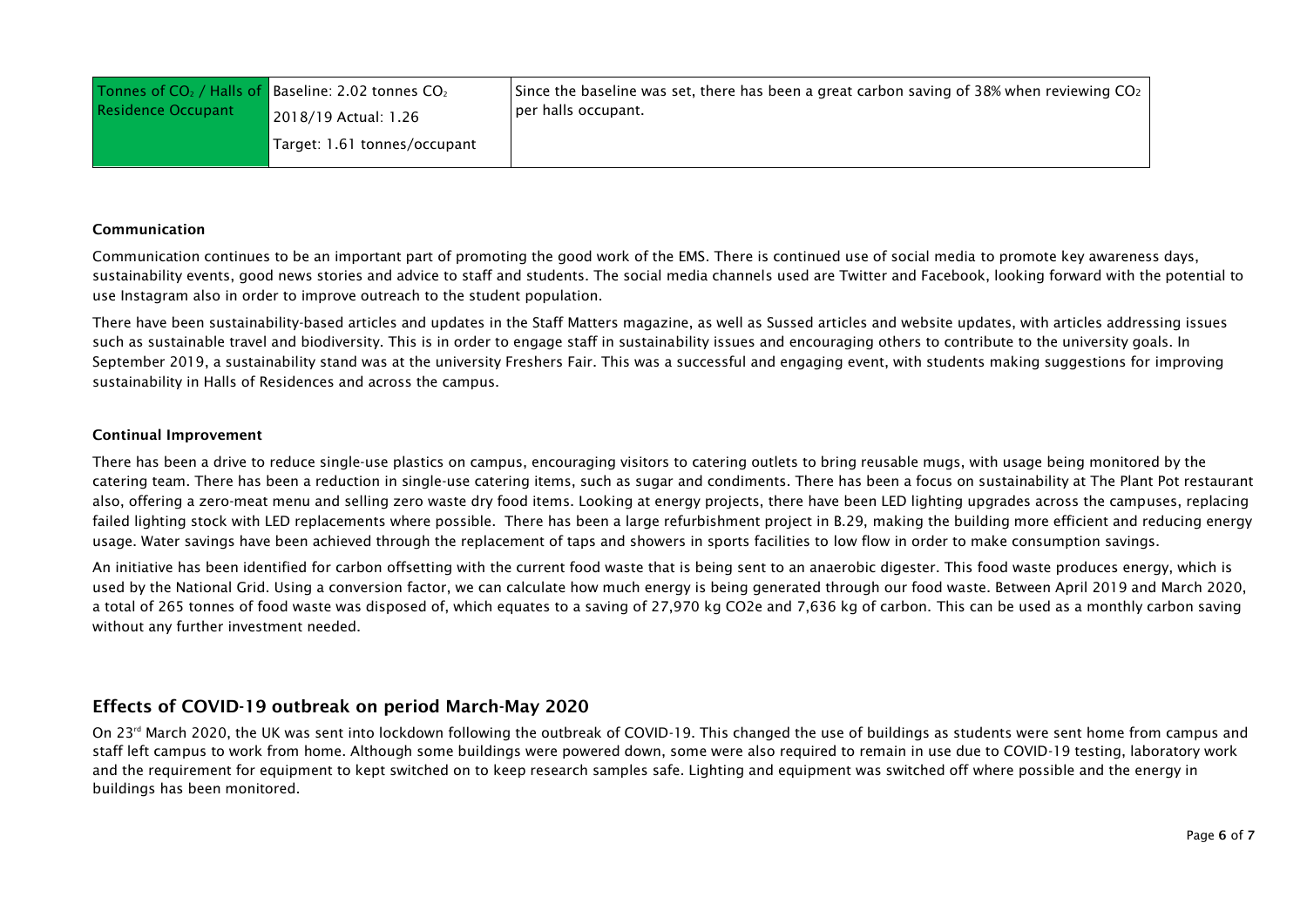| <b>Residence Occupant</b> | Tonnes of $CO2$ / Halls of Baseline: 2.02 tonnes $CO2$<br>2018/19 Actual: 1.26 | Since the baseline was set, there has been a great carbon saving of 38% when reviewing $CO2$<br>per halls occupant. |  |  |
|---------------------------|--------------------------------------------------------------------------------|---------------------------------------------------------------------------------------------------------------------|--|--|
|                           | Target: 1.61 tonnes/occupant                                                   |                                                                                                                     |  |  |

### Communication

Communication continues to be an important part of promoting the good work of the EMS. There is continued use of social media to promote key awareness days, sustainability events, good news stories and advice to staff and students. The social media channels used are Twitter and Facebook, looking forward with the potential to use Instagram also in order to improve outreach to the student population.

There have been sustainability-based articles and updates in the Staff Matters magazine, as well as Sussed articles and website updates, with articles addressing issues such as sustainable travel and biodiversity. This is in order to engage staff in sustainability issues and encouraging others to contribute to the university goals. In September 2019, a sustainability stand was at the university Freshers Fair. This was a successful and engaging event, with students making suggestions for improving sustainability in Halls of Residences and across the campus.

### Continual Improvement

There has been a drive to reduce single-use plastics on campus, encouraging visitors to catering outlets to bring reusable mugs, with usage being monitored by the catering team. There has been a reduction in single-use catering items, such as sugar and condiments. There has been a focus on sustainability at The Plant Pot restaurant also, offering a zero-meat menu and selling zero waste dry food items. Looking at energy projects, there have been LED lighting upgrades across the campuses, replacing failed lighting stock with LED replacements where possible. There has been a large refurbishment project in B.29, making the building more efficient and reducing energy usage. Water savings have been achieved through the replacement of taps and showers in sports facilities to low flow in order to make consumption savings.

An initiative has been identified for carbon offsetting with the current food waste that is being sent to an anaerobic digester. This food waste produces energy, which is used by the National Grid. Using a conversion factor, we can calculate how much energy is being generated through our food waste. Between April 2019 and March 2020, a total of 265 tonnes of food waste was disposed of, which equates to a saving of 27,970 kg CO2e and 7,636 kg of carbon. This can be used as a monthly carbon saving without any further investment needed.

## Effects of COVID-19 outbreak on period March-May 2020

On 23<sup>rd</sup> March 2020, the UK was sent into lockdown following the outbreak of COVID-19. This changed the use of buildings as students were sent home from campus and staff left campus to work from home. Although some buildings were powered down, some were also required to remain in use due to COVID-19 testing, laboratory work and the requirement for equipment to kept switched on to keep research samples safe. Lighting and equipment was switched off where possible and the energy in buildings has been monitored.